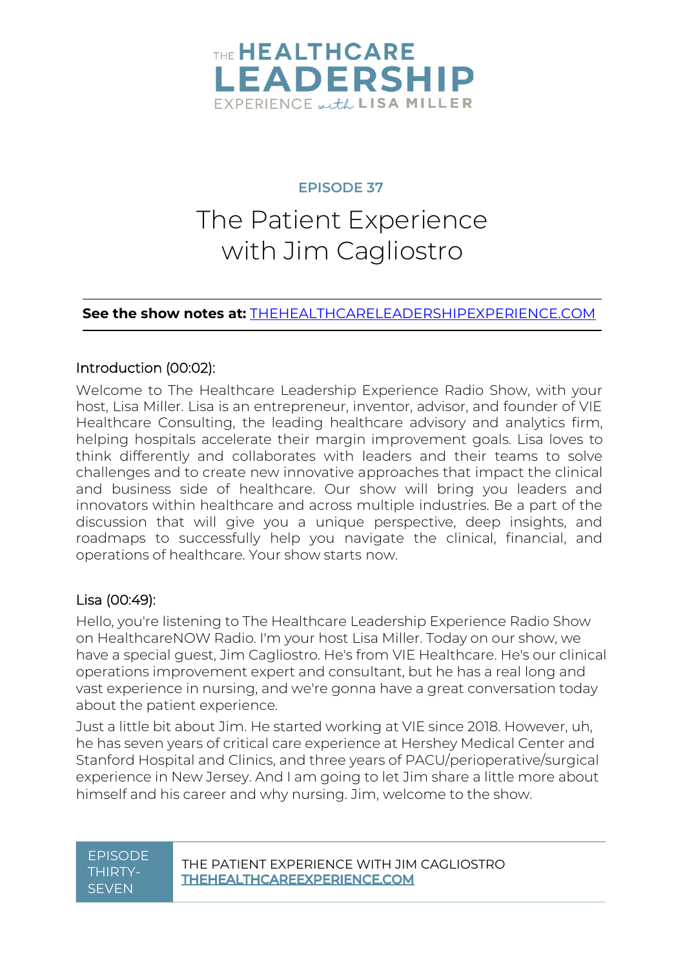

#### **EPISODE 37**

# The Patient Experience with Jim Cagliostro

#### **See the show notes at:** [THEHEALTHCARELEADERSHIPEXPERIENCE.COM](http://thehealthcareleadershipexperience.com/)

#### Introduction (00:02):

Welcome to The Healthcare Leadership Experience Radio Show, with your host, Lisa Miller. Lisa is an entrepreneur, inventor, advisor, and founder of VIE Healthcare Consulting, the leading healthcare advisory and analytics firm, helping hospitals accelerate their margin improvement goals. Lisa loves to think differently and collaborates with leaders and their teams to solve challenges and to create new innovative approaches that impact the clinical and business side of healthcare. Our show will bring you leaders and innovators within healthcare and across multiple industries. Be a part of the discussion that will give you a unique perspective, deep insights, and roadmaps to successfully help you navigate the clinical, financial, and operations of healthcare. Your show starts now.

#### Lisa (00:49):

Hello, you're listening to The Healthcare Leadership Experience Radio Show on HealthcareNOW Radio. I'm your host Lisa Miller. Today on our show, we have a special guest, Jim Cagliostro. He's from VIE Healthcare. He's our clinical operations improvement expert and consultant, but he has a real long and vast experience in nursing, and we're gonna have a great conversation today about the patient experience.

Just a little bit about Jim. He started working at VIE since 2018. However, uh, he has seven years of critical care experience at Hershey Medical Center and Stanford Hospital and Clinics, and three years of PACU/perioperative/surgical experience in New Jersey. And I am going to let Jim share a little more about himself and his career and why nursing. Jim, welcome to the show.

# THIRTY-**SEVEN**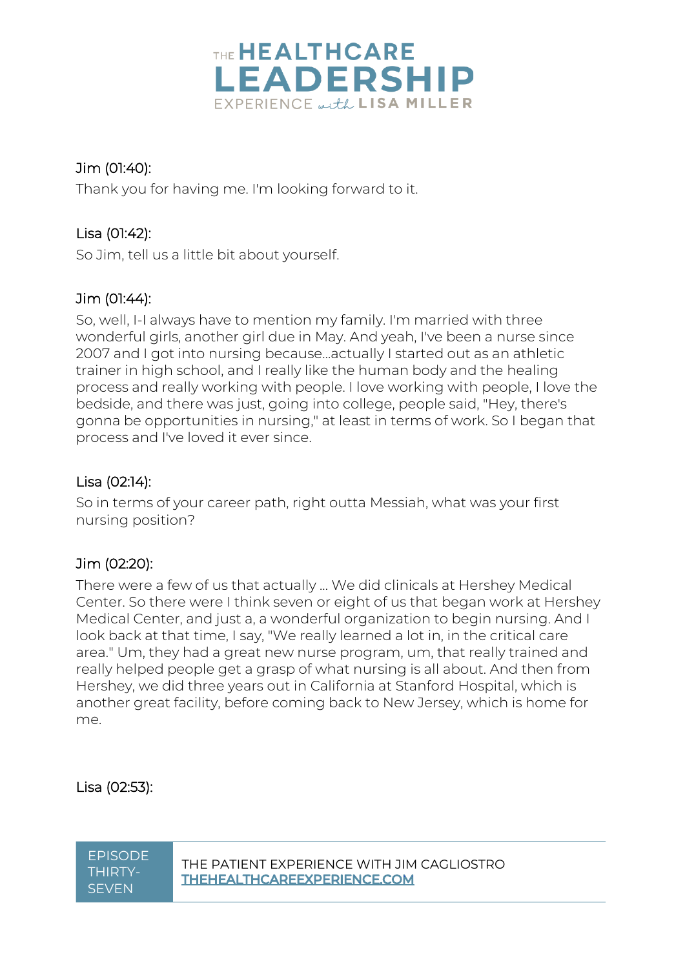

# Jim (01:40):

Thank you for having me. I'm looking forward to it.

# Lisa (01:42):

So Jim, tell us a little bit about yourself.

# Jim (01:44):

So, well, I-I always have to mention my family. I'm married with three wonderful girls, another girl due in May. And yeah, I've been a nurse since 2007 and I got into nursing because…actually I started out as an athletic trainer in high school, and I really like the human body and the healing process and really working with people. I love working with people, I love the bedside, and there was just, going into college, people said, "Hey, there's gonna be opportunities in nursing," at least in terms of work. So I began that process and I've loved it ever since.

# Lisa (02:14):

So in terms of your career path, right outta Messiah, what was your first nursing position?

# Jim (02:20):

There were a few of us that actually ... We did clinicals at Hershey Medical Center. So there were I think seven or eight of us that began work at Hershey Medical Center, and just a, a wonderful organization to begin nursing. And I look back at that time, I say, "We really learned a lot in, in the critical care area." Um, they had a great new nurse program, um, that really trained and really helped people get a grasp of what nursing is all about. And then from Hershey, we did three years out in California at Stanford Hospital, which is another great facility, before coming back to New Jersey, which is home for me.

Lisa (02:53):

THIRTY-**SEVEN**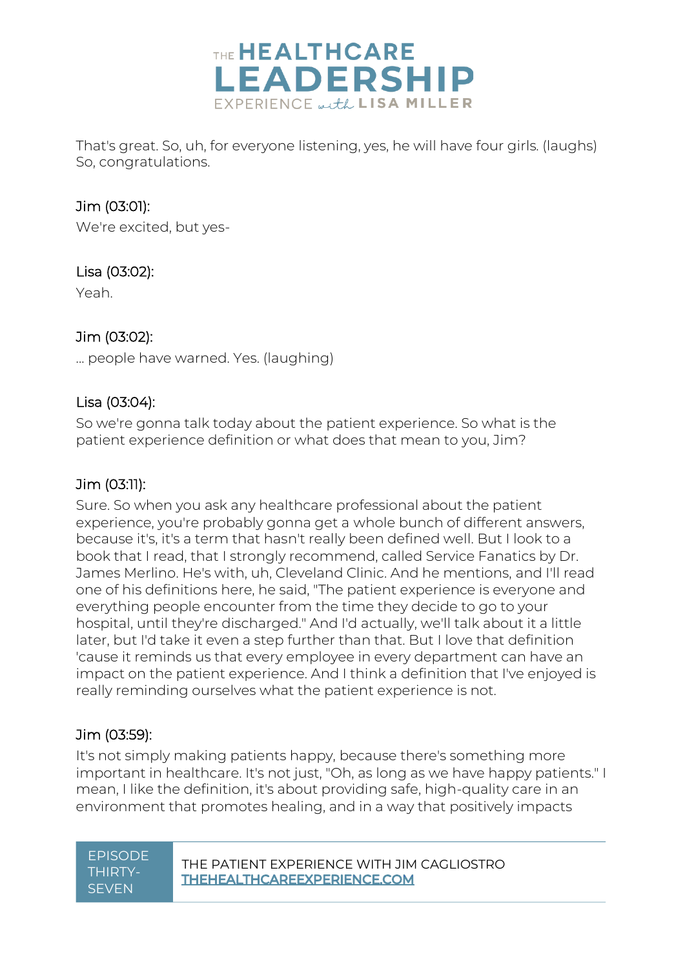

That's great. So, uh, for everyone listening, yes, he will have four girls. (laughs) So, congratulations.

# Jim (03:01):

We're excited, but yes-

## Lisa (03:02):

Yeah.

# Jim (03:02):

... people have warned. Yes. (laughing)

## Lisa (03:04):

So we're gonna talk today about the patient experience. So what is the patient experience definition or what does that mean to you, Jim?

## Jim (03:11):

Sure. So when you ask any healthcare professional about the patient experience, you're probably gonna get a whole bunch of different answers, because it's, it's a term that hasn't really been defined well. But I look to a book that I read, that I strongly recommend, called Service Fanatics by Dr. James Merlino. He's with, uh, Cleveland Clinic. And he mentions, and I'll read one of his definitions here, he said, "The patient experience is everyone and everything people encounter from the time they decide to go to your hospital, until they're discharged." And I'd actually, we'll talk about it a little later, but I'd take it even a step further than that. But I love that definition 'cause it reminds us that every employee in every department can have an impact on the patient experience. And I think a definition that I've enjoyed is really reminding ourselves what the patient experience is not.

## Jim (03:59):

It's not simply making patients happy, because there's something more important in healthcare. It's not just, "Oh, as long as we have happy patients." I mean, I like the definition, it's about providing safe, high-quality care in an environment that promotes healing, and in a way that positively impacts

# THIRTY-**SEVEN**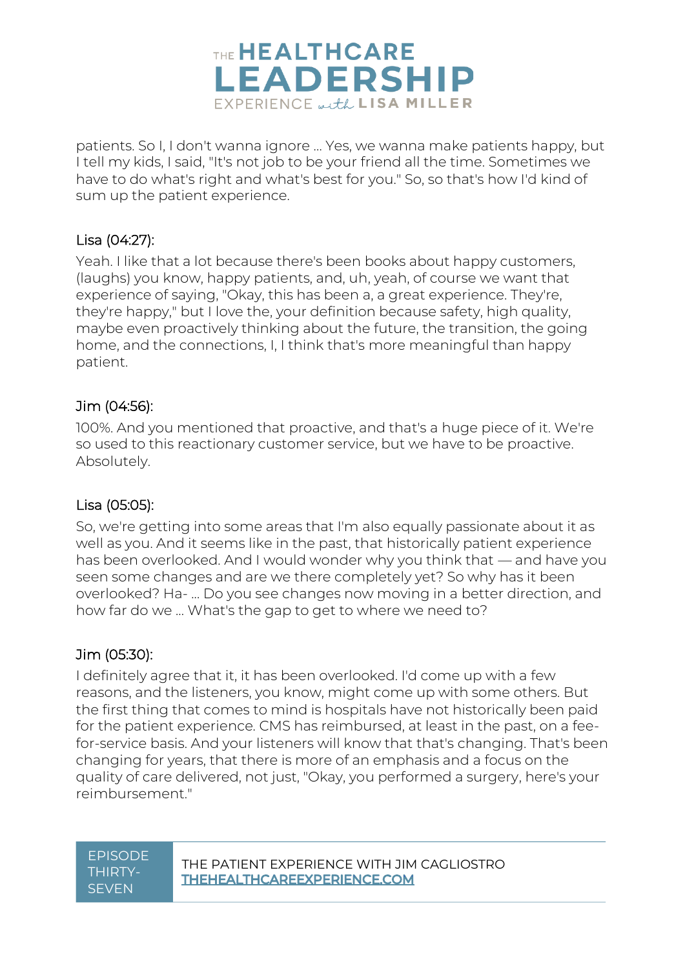

patients. So I, I don't wanna ignore ... Yes, we wanna make patients happy, but I tell my kids, I said, "It's not job to be your friend all the time. Sometimes we have to do what's right and what's best for you." So, so that's how I'd kind of sum up the patient experience.

#### Lisa (04:27):

Yeah. I like that a lot because there's been books about happy customers, (laughs) you know, happy patients, and, uh, yeah, of course we want that experience of saying, "Okay, this has been a, a great experience. They're, they're happy," but I love the, your definition because safety, high quality, maybe even proactively thinking about the future, the transition, the going home, and the connections, I, I think that's more meaningful than happy patient.

#### Jim (04:56):

100%. And you mentioned that proactive, and that's a huge piece of it. We're so used to this reactionary customer service, but we have to be proactive. Absolutely.

## Lisa (05:05):

So, we're getting into some areas that I'm also equally passionate about it as well as you. And it seems like in the past, that historically patient experience has been overlooked. And I would wonder why you think that — and have you seen some changes and are we there completely yet? So why has it been overlooked? Ha- ... Do you see changes now moving in a better direction, and how far do we ... What's the gap to get to where we need to?

## Jim (05:30):

I definitely agree that it, it has been overlooked. I'd come up with a few reasons, and the listeners, you know, might come up with some others. But the first thing that comes to mind is hospitals have not historically been paid for the patient experience. CMS has reimbursed, at least in the past, on a feefor-service basis. And your listeners will know that that's changing. That's been changing for years, that there is more of an emphasis and a focus on the quality of care delivered, not just, "Okay, you performed a surgery, here's your reimbursement."

# THIRTY-**SEVEN**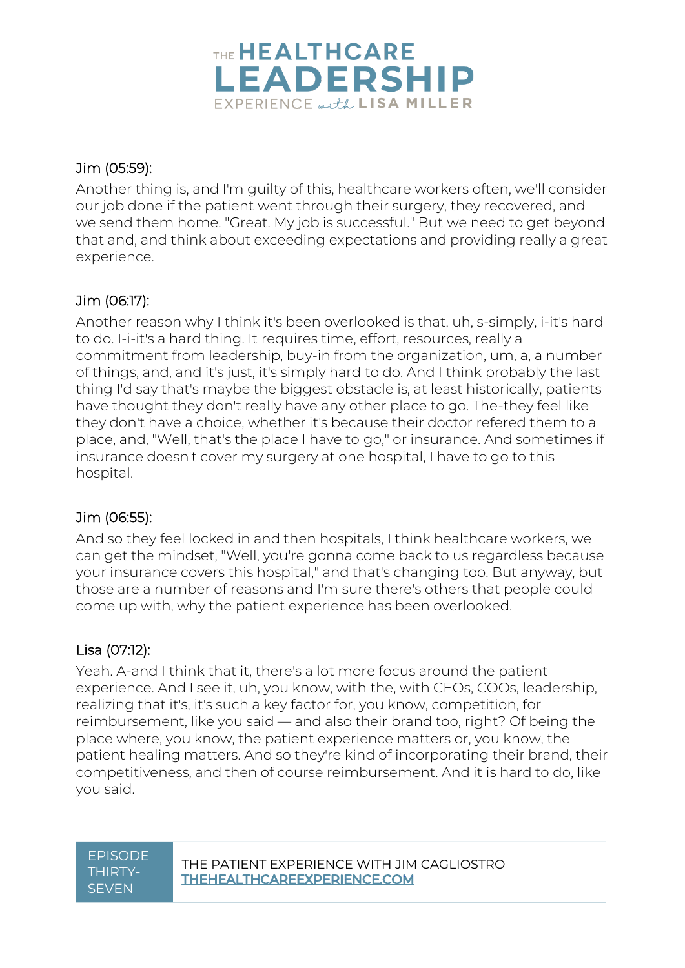

# Jim (05:59):

Another thing is, and I'm guilty of this, healthcare workers often, we'll consider our job done if the patient went through their surgery, they recovered, and we send them home. "Great. My job is successful." But we need to get beyond that and, and think about exceeding expectations and providing really a great experience.

# Jim (06:17):

Another reason why I think it's been overlooked is that, uh, s-simply, i-it's hard to do. I-i-it's a hard thing. It requires time, effort, resources, really a commitment from leadership, buy-in from the organization, um, a, a number of things, and, and it's just, it's simply hard to do. And I think probably the last thing I'd say that's maybe the biggest obstacle is, at least historically, patients have thought they don't really have any other place to go. The-they feel like they don't have a choice, whether it's because their doctor refered them to a place, and, "Well, that's the place I have to go," or insurance. And sometimes if insurance doesn't cover my surgery at one hospital, I have to go to this hospital.

## Jim (06:55):

And so they feel locked in and then hospitals, I think healthcare workers, we can get the mindset, "Well, you're gonna come back to us regardless because your insurance covers this hospital," and that's changing too. But anyway, but those are a number of reasons and I'm sure there's others that people could come up with, why the patient experience has been overlooked.

# Lisa (07:12):

Yeah. A-and I think that it, there's a lot more focus around the patient experience. And I see it, uh, you know, with the, with CEOs, COOs, leadership, realizing that it's, it's such a key factor for, you know, competition, for reimbursement, like you said — and also their brand too, right? Of being the place where, you know, the patient experience matters or, you know, the patient healing matters. And so they're kind of incorporating their brand, their competitiveness, and then of course reimbursement. And it is hard to do, like you said.

# THIRTY-**SEVEN**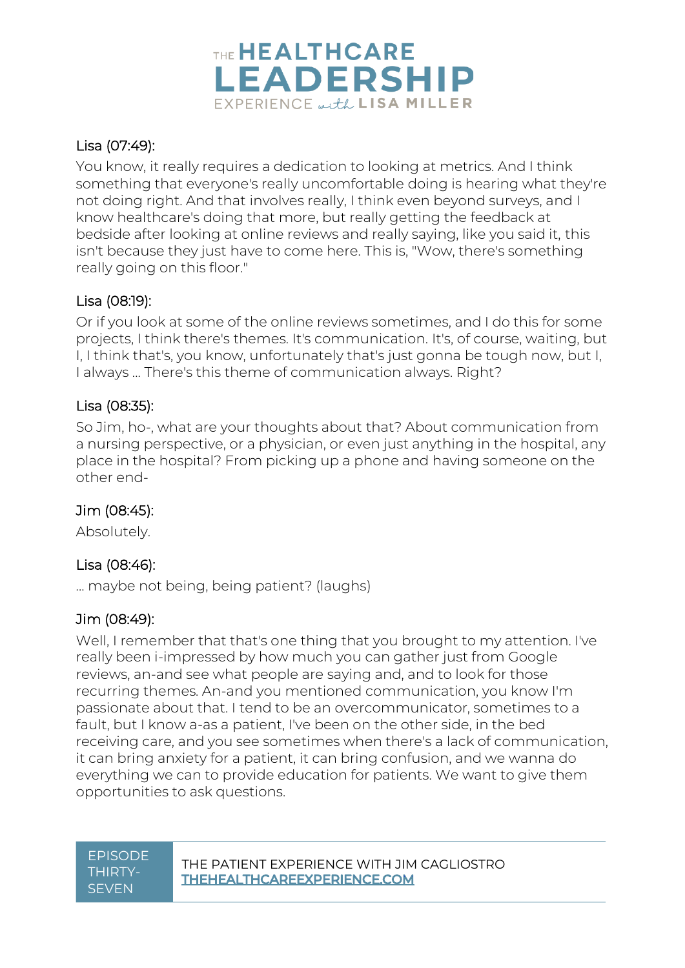

# Lisa (07:49):

You know, it really requires a dedication to looking at metrics. And I think something that everyone's really uncomfortable doing is hearing what they're not doing right. And that involves really, I think even beyond surveys, and I know healthcare's doing that more, but really getting the feedback at bedside after looking at online reviews and really saying, like you said it, this isn't because they just have to come here. This is, "Wow, there's something really going on this floor."

## Lisa (08:19):

Or if you look at some of the online reviews sometimes, and I do this for some projects, I think there's themes. It's communication. It's, of course, waiting, but I, I think that's, you know, unfortunately that's just gonna be tough now, but I, I always ... There's this theme of communication always. Right?

## Lisa (08:35):

So Jim, ho-, what are your thoughts about that? About communication from a nursing perspective, or a physician, or even just anything in the hospital, any place in the hospital? From picking up a phone and having someone on the other end-

## Jim (08:45):

Absolutely.

## Lisa (08:46):

... maybe not being, being patient? (laughs)

## Jim (08:49):

Well, I remember that that's one thing that you brought to my attention. I've really been i-impressed by how much you can gather just from Google reviews, an-and see what people are saying and, and to look for those recurring themes. An-and you mentioned communication, you know I'm passionate about that. I tend to be an overcommunicator, sometimes to a fault, but I know a-as a patient, I've been on the other side, in the bed receiving care, and you see sometimes when there's a lack of communication, it can bring anxiety for a patient, it can bring confusion, and we wanna do everything we can to provide education for patients. We want to give them opportunities to ask questions.

# THIRTY-**SEVEN**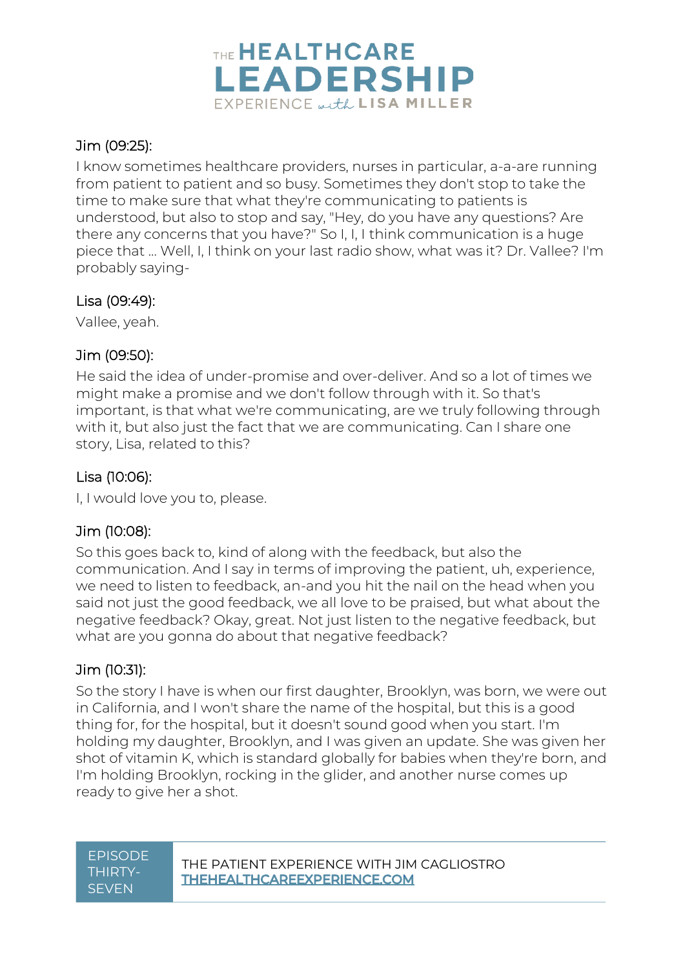

# Jim (09:25):

I know sometimes healthcare providers, nurses in particular, a-a-are running from patient to patient and so busy. Sometimes they don't stop to take the time to make sure that what they're communicating to patients is understood, but also to stop and say, "Hey, do you have any questions? Are there any concerns that you have?" So I, I, I think communication is a huge piece that ... Well, I, I think on your last radio show, what was it? Dr. Vallee? I'm probably saying-

## Lisa (09:49):

Vallee, yeah.

## Jim (09:50):

He said the idea of under-promise and over-deliver. And so a lot of times we might make a promise and we don't follow through with it. So that's important, is that what we're communicating, are we truly following through with it, but also just the fact that we are communicating. Can I share one story, Lisa, related to this?

# Lisa (10:06):

I, I would love you to, please.

# Jim (10:08):

So this goes back to, kind of along with the feedback, but also the communication. And I say in terms of improving the patient, uh, experience, we need to listen to feedback, an-and you hit the nail on the head when you said not just the good feedback, we all love to be praised, but what about the negative feedback? Okay, great. Not just listen to the negative feedback, but what are you gonna do about that negative feedback?

# Jim (10:31):

So the story I have is when our first daughter, Brooklyn, was born, we were out in California, and I won't share the name of the hospital, but this is a good thing for, for the hospital, but it doesn't sound good when you start. I'm holding my daughter, Brooklyn, and I was given an update. She was given her shot of vitamin K, which is standard globally for babies when they're born, and I'm holding Brooklyn, rocking in the glider, and another nurse comes up ready to give her a shot.

# THIRTY-**SEVEN**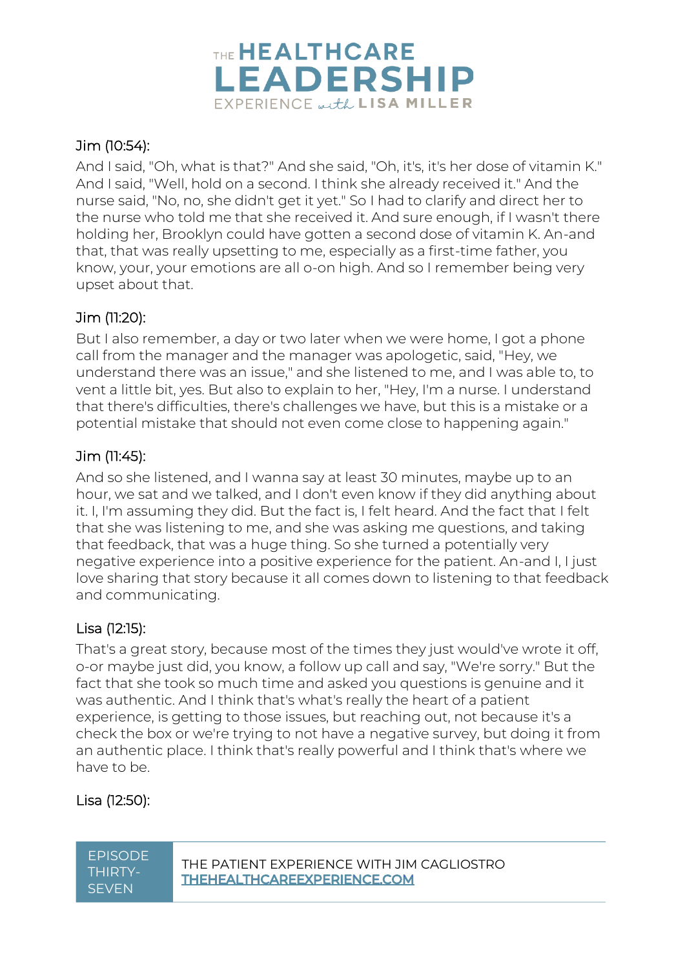

# Jim (10:54):

And I said, "Oh, what is that?" And she said, "Oh, it's, it's her dose of vitamin K." And I said, "Well, hold on a second. I think she already received it." And the nurse said, "No, no, she didn't get it yet." So I had to clarify and direct her to the nurse who told me that she received it. And sure enough, if I wasn't there holding her, Brooklyn could have gotten a second dose of vitamin K. An-and that, that was really upsetting to me, especially as a first-time father, you know, your, your emotions are all o-on high. And so I remember being very upset about that.

# Jim (11:20):

But I also remember, a day or two later when we were home, I got a phone call from the manager and the manager was apologetic, said, "Hey, we understand there was an issue," and she listened to me, and I was able to, to vent a little bit, yes. But also to explain to her, "Hey, I'm a nurse. I understand that there's difficulties, there's challenges we have, but this is a mistake or a potential mistake that should not even come close to happening again."

# Jim (11:45):

And so she listened, and I wanna say at least 30 minutes, maybe up to an hour, we sat and we talked, and I don't even know if they did anything about it. I, I'm assuming they did. But the fact is, I felt heard. And the fact that I felt that she was listening to me, and she was asking me questions, and taking that feedback, that was a huge thing. So she turned a potentially very negative experience into a positive experience for the patient. An-and I, I just love sharing that story because it all comes down to listening to that feedback and communicating.

# Lisa (12:15):

That's a great story, because most of the times they just would've wrote it off, o-or maybe just did, you know, a follow up call and say, "We're sorry." But the fact that she took so much time and asked you questions is genuine and it was authentic. And I think that's what's really the heart of a patient experience, is getting to those issues, but reaching out, not because it's a check the box or we're trying to not have a negative survey, but doing it from an authentic place. I think that's really powerful and I think that's where we have to be.

# Lisa (12:50):

**SEVEN**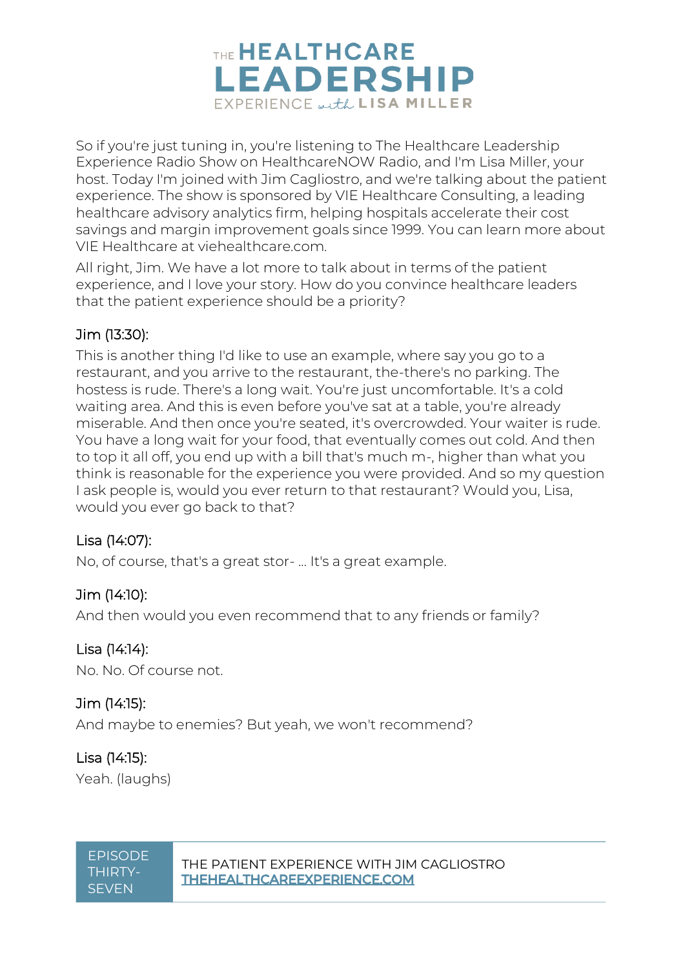

So if you're just tuning in, you're listening to The Healthcare Leadership Experience Radio Show on HealthcareNOW Radio, and I'm Lisa Miller, your host. Today I'm joined with Jim Cagliostro, and we're talking about the patient experience. The show is sponsored by VIE Healthcare Consulting, a leading healthcare advisory analytics firm, helping hospitals accelerate their cost savings and margin improvement goals since 1999. You can learn more about VIE Healthcare at viehealthcare.com.

All right, Jim. We have a lot more to talk about in terms of the patient experience, and I love your story. How do you convince healthcare leaders that the patient experience should be a priority?

## Jim (13:30):

This is another thing I'd like to use an example, where say you go to a restaurant, and you arrive to the restaurant, the-there's no parking. The hostess is rude. There's a long wait. You're just uncomfortable. It's a cold waiting area. And this is even before you've sat at a table, you're already miserable. And then once you're seated, it's overcrowded. Your waiter is rude. You have a long wait for your food, that eventually comes out cold. And then to top it all off, you end up with a bill that's much m-, higher than what you think is reasonable for the experience you were provided. And so my question I ask people is, would you ever return to that restaurant? Would you, Lisa, would you ever go back to that?

## Lisa (14:07):

No, of course, that's a great stor- ... It's a great example.

## Jim (14:10):

And then would you even recommend that to any friends or family?

## Lisa (14:14):

No. No. Of course not.

## Jim (14:15):

And maybe to enemies? But yeah, we won't recommend?

#### Lisa (14:15): Yeah. (laughs)

THIRTY-**SEVEN**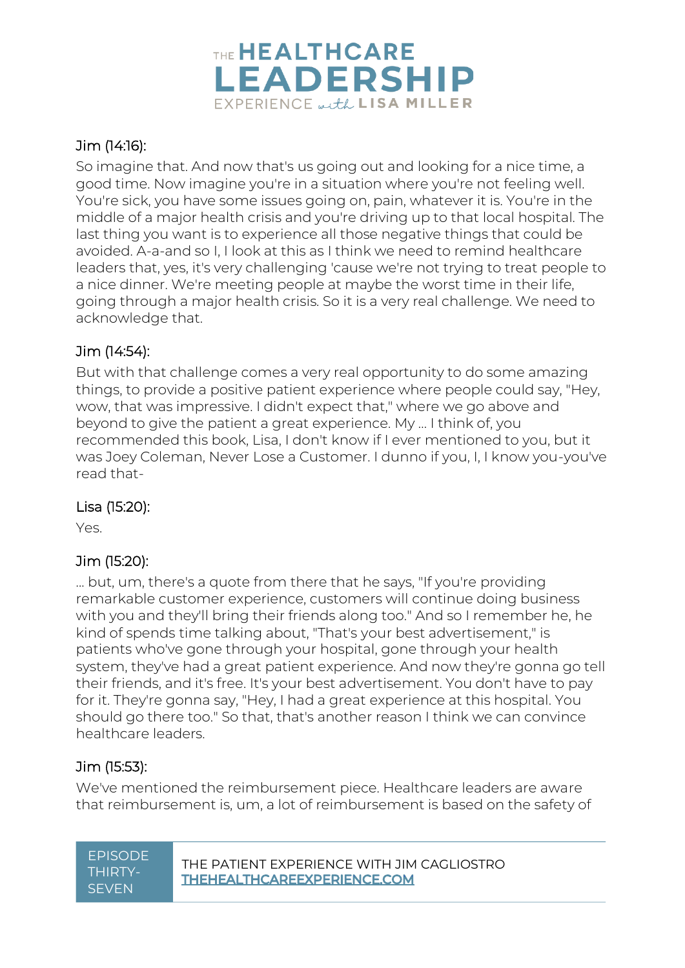

# Jim (14:16):

So imagine that. And now that's us going out and looking for a nice time, a good time. Now imagine you're in a situation where you're not feeling well. You're sick, you have some issues going on, pain, whatever it is. You're in the middle of a major health crisis and you're driving up to that local hospital. The last thing you want is to experience all those negative things that could be avoided. A-a-and so I, I look at this as I think we need to remind healthcare leaders that, yes, it's very challenging 'cause we're not trying to treat people to a nice dinner. We're meeting people at maybe the worst time in their life, going through a major health crisis. So it is a very real challenge. We need to acknowledge that.

# Jim (14:54):

But with that challenge comes a very real opportunity to do some amazing things, to provide a positive patient experience where people could say, "Hey, wow, that was impressive. I didn't expect that," where we go above and beyond to give the patient a great experience. My ... I think of, you recommended this book, Lisa, I don't know if I ever mentioned to you, but it was Joey Coleman, Never Lose a Customer. I dunno if you, I, I know you-you've read that-

# Lisa (15:20):

Yes.

# Jim (15:20):

... but, um, there's a quote from there that he says, "If you're providing remarkable customer experience, customers will continue doing business with you and they'll bring their friends along too." And so I remember he, he kind of spends time talking about, "That's your best advertisement," is patients who've gone through your hospital, gone through your health system, they've had a great patient experience. And now they're gonna go tell their friends, and it's free. It's your best advertisement. You don't have to pay for it. They're gonna say, "Hey, I had a great experience at this hospital. You should go there too." So that, that's another reason I think we can convince healthcare leaders.

# Jim (15:53):

We've mentioned the reimbursement piece. Healthcare leaders are aware that reimbursement is, um, a lot of reimbursement is based on the safety of

| EPISODE |
|---------|
| THIRTY- |
| SEVEN   |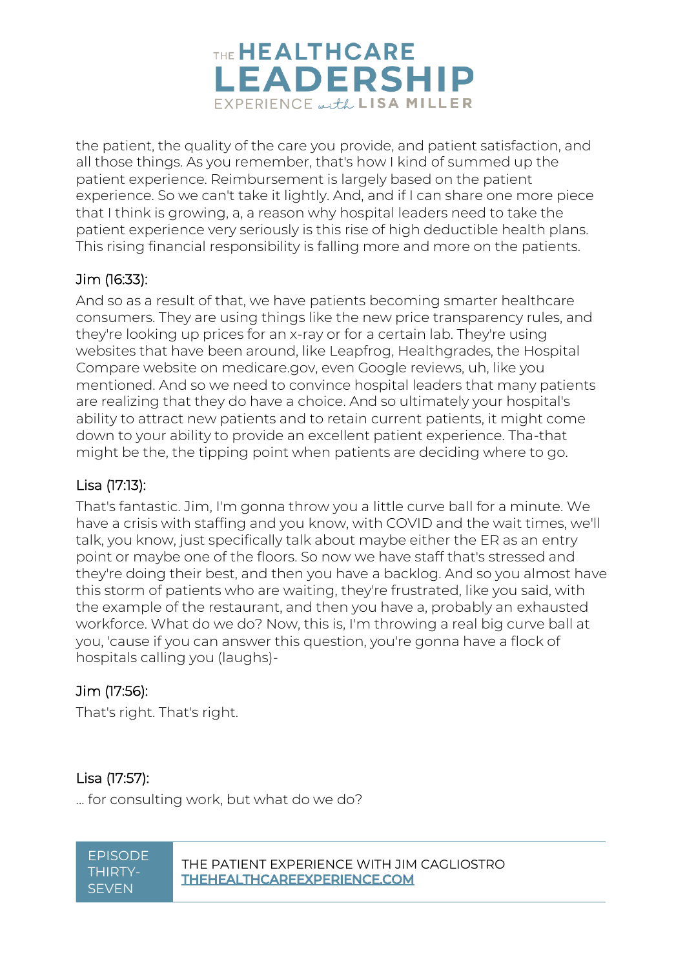

the patient, the quality of the care you provide, and patient satisfaction, and all those things. As you remember, that's how I kind of summed up the patient experience. Reimbursement is largely based on the patient experience. So we can't take it lightly. And, and if I can share one more piece that I think is growing, a, a reason why hospital leaders need to take the patient experience very seriously is this rise of high deductible health plans. This rising financial responsibility is falling more and more on the patients.

# Jim (16:33):

And so as a result of that, we have patients becoming smarter healthcare consumers. They are using things like the new price transparency rules, and they're looking up prices for an x-ray or for a certain lab. They're using websites that have been around, like Leapfrog, Healthgrades, the Hospital Compare website on medicare.gov, even Google reviews, uh, like you mentioned. And so we need to convince hospital leaders that many patients are realizing that they do have a choice. And so ultimately your hospital's ability to attract new patients and to retain current patients, it might come down to your ability to provide an excellent patient experience. Tha-that might be the, the tipping point when patients are deciding where to go.

## Lisa (17:13):

That's fantastic. Jim, I'm gonna throw you a little curve ball for a minute. We have a crisis with staffing and you know, with COVID and the wait times, we'll talk, you know, just specifically talk about maybe either the ER as an entry point or maybe one of the floors. So now we have staff that's stressed and they're doing their best, and then you have a backlog. And so you almost have this storm of patients who are waiting, they're frustrated, like you said, with the example of the restaurant, and then you have a, probably an exhausted workforce. What do we do? Now, this is, I'm throwing a real big curve ball at you, 'cause if you can answer this question, you're gonna have a flock of hospitals calling you (laughs)-

## Jim (17:56):

That's right. That's right.

# Lisa (17:57):

... for consulting work, but what do we do?

THIRTY-**SEVEN**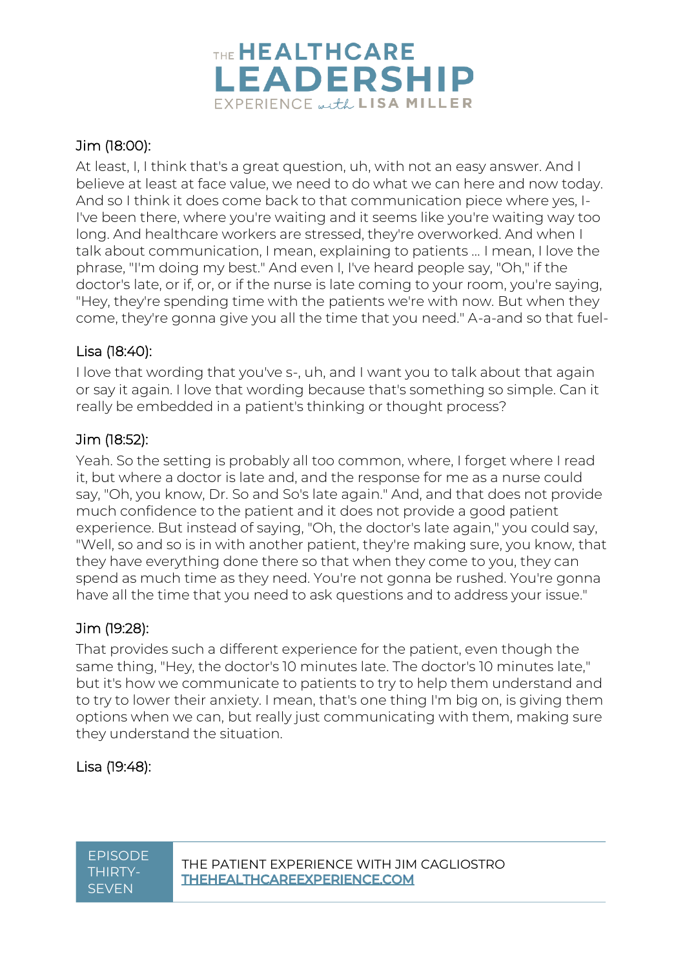

# Jim (18:00):

At least, I, I think that's a great question, uh, with not an easy answer. And I believe at least at face value, we need to do what we can here and now today. And so I think it does come back to that communication piece where yes, I-I've been there, where you're waiting and it seems like you're waiting way too long. And healthcare workers are stressed, they're overworked. And when I talk about communication, I mean, explaining to patients ... I mean, I love the phrase, "I'm doing my best." And even I, I've heard people say, "Oh," if the doctor's late, or if, or, or if the nurse is late coming to your room, you're saying, "Hey, they're spending time with the patients we're with now. But when they come, they're gonna give you all the time that you need." A-a-and so that fuel-

## Lisa (18:40):

I love that wording that you've s-, uh, and I want you to talk about that again or say it again. I love that wording because that's something so simple. Can it really be embedded in a patient's thinking or thought process?

## Jim (18:52):

Yeah. So the setting is probably all too common, where, I forget where I read it, but where a doctor is late and, and the response for me as a nurse could say, "Oh, you know, Dr. So and So's late again." And, and that does not provide much confidence to the patient and it does not provide a good patient experience. But instead of saying, "Oh, the doctor's late again," you could say, "Well, so and so is in with another patient, they're making sure, you know, that they have everything done there so that when they come to you, they can spend as much time as they need. You're not gonna be rushed. You're gonna have all the time that you need to ask questions and to address your issue."

# Jim (19:28):

That provides such a different experience for the patient, even though the same thing, "Hey, the doctor's 10 minutes late. The doctor's 10 minutes late," but it's how we communicate to patients to try to help them understand and to try to lower their anxiety. I mean, that's one thing I'm big on, is giving them options when we can, but really just communicating with them, making sure they understand the situation.

# Lisa (19:48):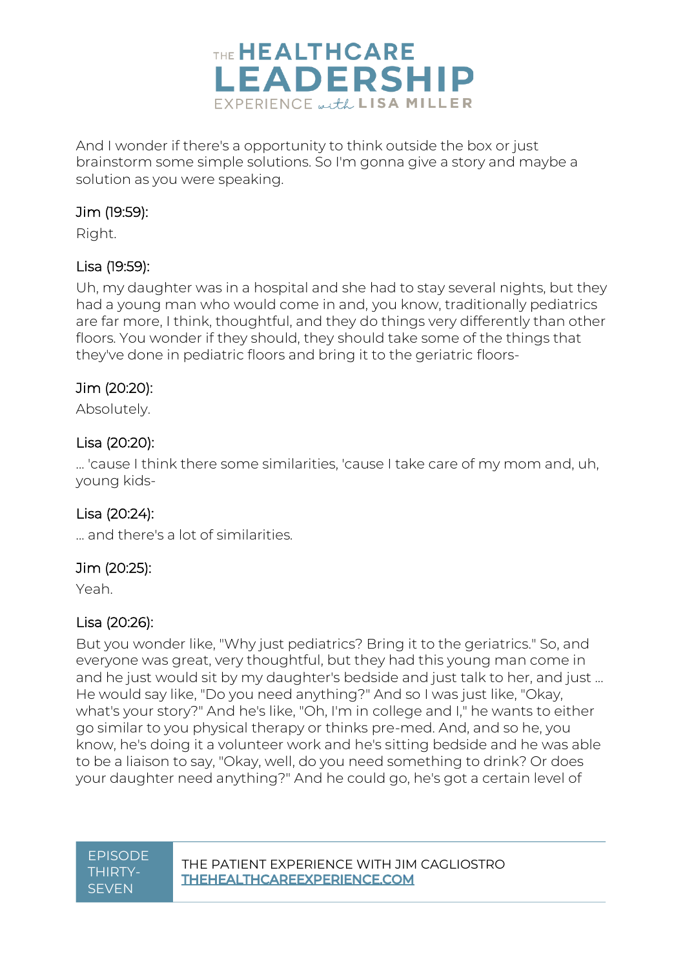

And I wonder if there's a opportunity to think outside the box or just brainstorm some simple solutions. So I'm gonna give a story and maybe a solution as you were speaking.

# Jim (19:59):

Right.

# Lisa (19:59):

Uh, my daughter was in a hospital and she had to stay several nights, but they had a young man who would come in and, you know, traditionally pediatrics are far more, I think, thoughtful, and they do things very differently than other floors. You wonder if they should, they should take some of the things that they've done in pediatric floors and bring it to the geriatric floors-

# Jim (20:20):

Absolutely.

## Lisa (20:20):

... 'cause I think there some similarities, 'cause I take care of my mom and, uh, young kids-

## Lisa (20:24):

... and there's a lot of similarities.

## Jim (20:25):

Yeah.

## Lisa (20:26):

But you wonder like, "Why just pediatrics? Bring it to the geriatrics." So, and everyone was great, very thoughtful, but they had this young man come in and he just would sit by my daughter's bedside and just talk to her, and just ... He would say like, "Do you need anything?" And so I was just like, "Okay, what's your story?" And he's like, "Oh, I'm in college and I," he wants to either go similar to you physical therapy or thinks pre-med. And, and so he, you know, he's doing it a volunteer work and he's sitting bedside and he was able to be a liaison to say, "Okay, well, do you need something to drink? Or does your daughter need anything?" And he could go, he's got a certain level of

# THIRTY-**SEVEN**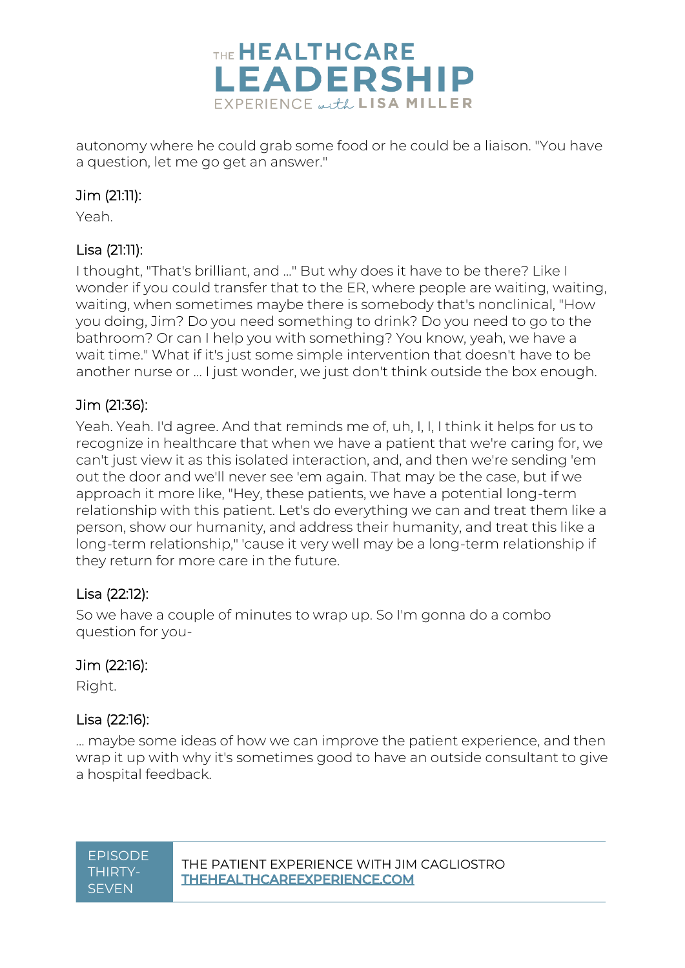

autonomy where he could grab some food or he could be a liaison. "You have a question, let me go get an answer."

# Jim (21:11):

Yeah.

# Lisa (21:11):

I thought, "That's brilliant, and ..." But why does it have to be there? Like I wonder if you could transfer that to the ER, where people are waiting, waiting, waiting, when sometimes maybe there is somebody that's nonclinical, "How you doing, Jim? Do you need something to drink? Do you need to go to the bathroom? Or can I help you with something? You know, yeah, we have a wait time." What if it's just some simple intervention that doesn't have to be another nurse or ... I just wonder, we just don't think outside the box enough.

## Jim (21:36):

Yeah. Yeah. I'd agree. And that reminds me of, uh, I, I, I think it helps for us to recognize in healthcare that when we have a patient that we're caring for, we can't just view it as this isolated interaction, and, and then we're sending 'em out the door and we'll never see 'em again. That may be the case, but if we approach it more like, "Hey, these patients, we have a potential long-term relationship with this patient. Let's do everything we can and treat them like a person, show our humanity, and address their humanity, and treat this like a long-term relationship," 'cause it very well may be a long-term relationship if they return for more care in the future.

## Lisa (22:12):

So we have a couple of minutes to wrap up. So I'm gonna do a combo question for you-

## Jim (22:16):

Right.

## Lisa (22:16):

... maybe some ideas of how we can improve the patient experience, and then wrap it up with why it's sometimes good to have an outside consultant to give a hospital feedback.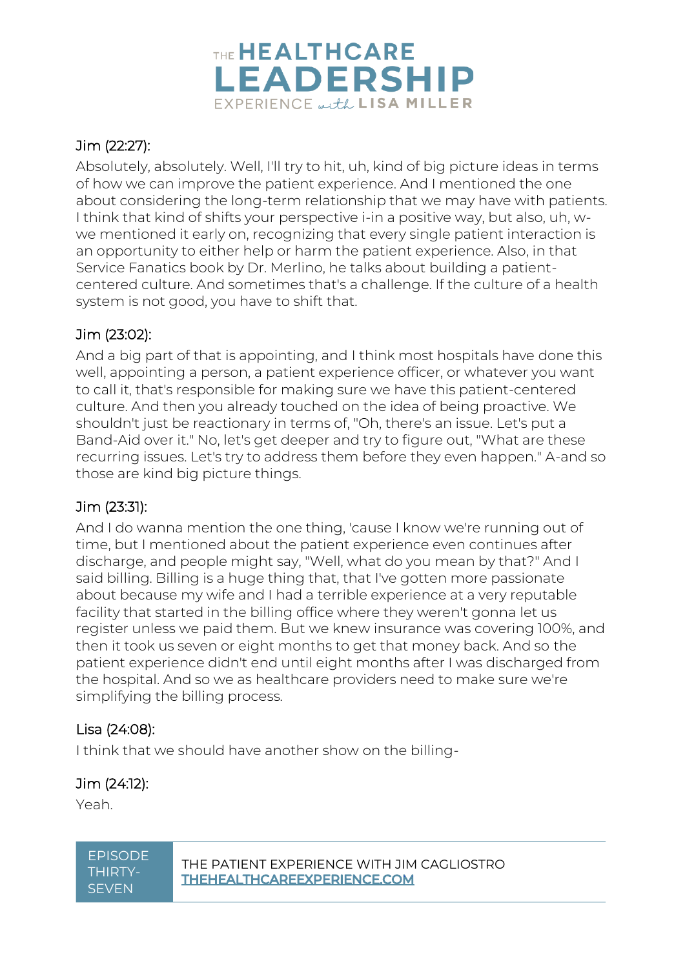

# Jim (22:27):

Absolutely, absolutely. Well, I'll try to hit, uh, kind of big picture ideas in terms of how we can improve the patient experience. And I mentioned the one about considering the long-term relationship that we may have with patients. I think that kind of shifts your perspective i-in a positive way, but also, uh, wwe mentioned it early on, recognizing that every single patient interaction is an opportunity to either help or harm the patient experience. Also, in that Service Fanatics book by Dr. Merlino, he talks about building a patientcentered culture. And sometimes that's a challenge. If the culture of a health system is not good, you have to shift that.

## Jim (23:02):

And a big part of that is appointing, and I think most hospitals have done this well, appointing a person, a patient experience officer, or whatever you want to call it, that's responsible for making sure we have this patient-centered culture. And then you already touched on the idea of being proactive. We shouldn't just be reactionary in terms of, "Oh, there's an issue. Let's put a Band-Aid over it." No, let's get deeper and try to figure out, "What are these recurring issues. Let's try to address them before they even happen." A-and so those are kind big picture things.

## Jim (23:31):

And I do wanna mention the one thing, 'cause I know we're running out of time, but I mentioned about the patient experience even continues after discharge, and people might say, "Well, what do you mean by that?" And I said billing. Billing is a huge thing that, that I've gotten more passionate about because my wife and I had a terrible experience at a very reputable facility that started in the billing office where they weren't gonna let us register unless we paid them. But we knew insurance was covering 100%, and then it took us seven or eight months to get that money back. And so the patient experience didn't end until eight months after I was discharged from the hospital. And so we as healthcare providers need to make sure we're simplifying the billing process.

## Lisa (24:08):

I think that we should have another show on the billing-

## Jim (24:12):

Yeah.

# THIRTY-**SEVEN**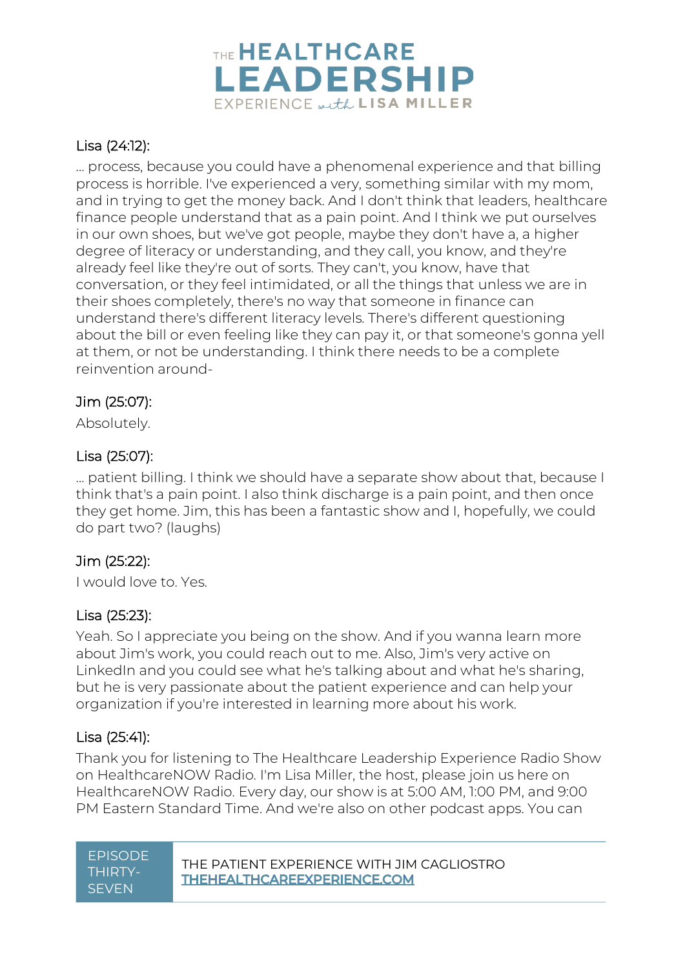

# Lisa (24:12):

... process, because you could have a phenomenal experience and that billing process is horrible. I've experienced a very, something similar with my mom, and in trying to get the money back. And I don't think that leaders, healthcare finance people understand that as a pain point. And I think we put ourselves in our own shoes, but we've got people, maybe they don't have a, a higher degree of literacy or understanding, and they call, you know, and they're already feel like they're out of sorts. They can't, you know, have that conversation, or they feel intimidated, or all the things that unless we are in their shoes completely, there's no way that someone in finance can understand there's different literacy levels. There's different questioning about the bill or even feeling like they can pay it, or that someone's gonna yell at them, or not be understanding. I think there needs to be a complete reinvention around-

## Jim (25:07):

Absolutely.

# Lisa (25:07):

... patient billing. I think we should have a separate show about that, because I think that's a pain point. I also think discharge is a pain point, and then once they get home. Jim, this has been a fantastic show and I, hopefully, we could do part two? (laughs)

## Jim (25:22):

I would love to. Yes.

## Lisa (25:23):

Yeah. So I appreciate you being on the show. And if you wanna learn more about Jim's work, you could reach out to me. Also, Jim's very active on LinkedIn and you could see what he's talking about and what he's sharing, but he is very passionate about the patient experience and can help your organization if you're interested in learning more about his work.

## Lisa (25:41):

Thank you for listening to The Healthcare Leadership Experience Radio Show on HealthcareNOW Radio. I'm Lisa Miller, the host, please join us here on HealthcareNOW Radio. Every day, our show is at 5:00 AM, 1:00 PM, and 9:00 PM Eastern Standard Time. And we're also on other podcast apps. You can

| <u>EPISODE</u> |
|----------------|
| THIRTY-        |
| SEVEN          |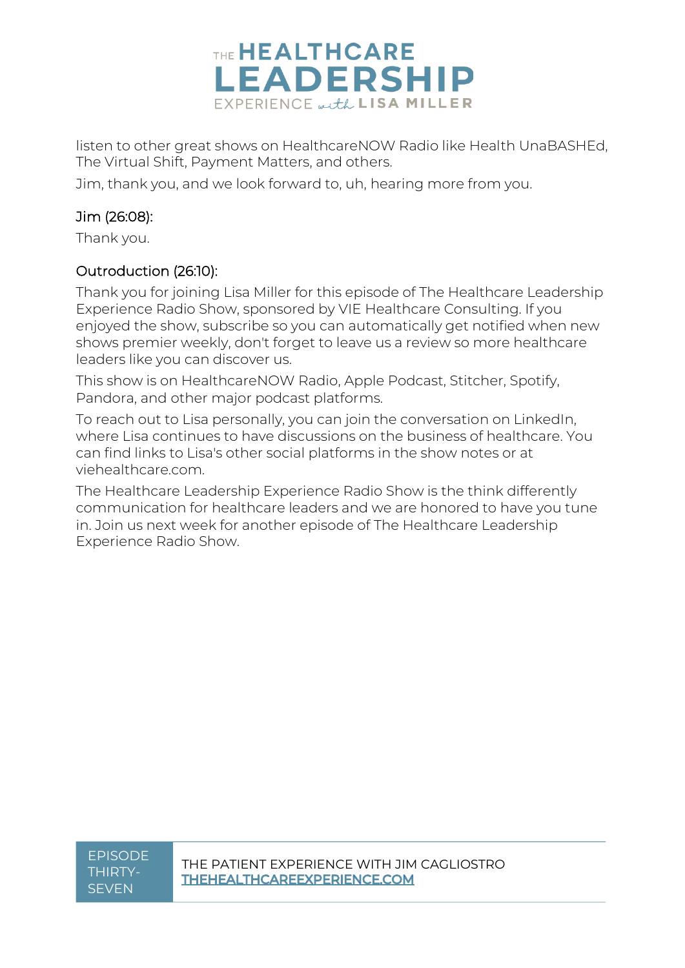

listen to other great shows on HealthcareNOW Radio like Health UnaBASHEd, The Virtual Shift, Payment Matters, and others.

Jim, thank you, and we look forward to, uh, hearing more from you.

# Jim (26:08):

Thank you.

## Outroduction (26:10):

Thank you for joining Lisa Miller for this episode of The Healthcare Leadership Experience Radio Show, sponsored by VIE Healthcare Consulting. If you enjoyed the show, subscribe so you can automatically get notified when new shows premier weekly, don't forget to leave us a review so more healthcare leaders like you can discover us.

This show is on HealthcareNOW Radio, Apple Podcast, Stitcher, Spotify, Pandora, and other major podcast platforms.

To reach out to Lisa personally, you can join the conversation on LinkedIn, where Lisa continues to have discussions on the business of healthcare. You can find links to Lisa's other social platforms in the show notes or at viehealthcare.com.

The Healthcare Leadership Experience Radio Show is the think differently communication for healthcare leaders and we are honored to have you tune in. Join us next week for another episode of The Healthcare Leadership Experience Radio Show.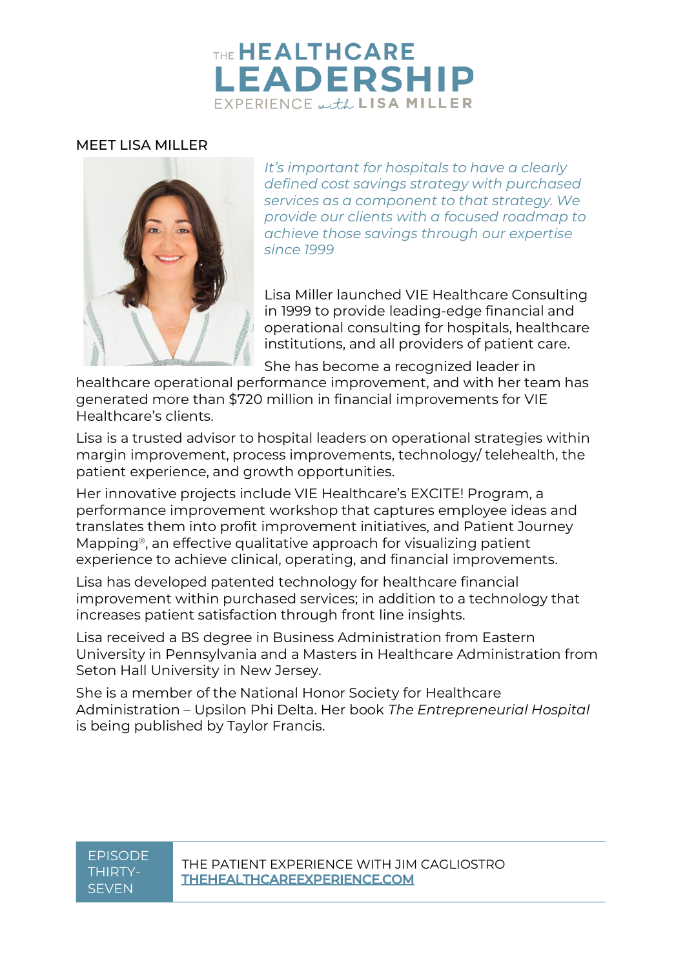# THE **HEALTHCARE LEADERSHIP** EXPERIENCE with LISA MILLER

#### MEET LISA MILLER



*It's important for hospitals to have a clearly defined cost savings strategy with purchased services as a component to that strategy. We provide our clients with a focused roadmap to achieve those savings through our expertise since 1999*

Lisa Miller launched VIE Healthcare Consulting in 1999 to provide leading-edge financial and operational consulting for hospitals, healthcare institutions, and all providers of patient care.

She has become a recognized leader in

healthcare operational performance improvement, and with her team has generated more than \$720 million in financial improvements for VIE Healthcare's clients.

Lisa is a trusted advisor to hospital leaders on operational strategies within margin improvement, process improvements, technology/ telehealth, the patient experience, and growth opportunities.

Her innovative projects include VIE Healthcare's EXCITE! Program, a performance improvement workshop that captures employee ideas and translates them into profit improvement initiatives, and Patient Journey Mapping®, an effective qualitative approach for visualizing patient experience to achieve clinical, operating, and financial improvements.

Lisa has developed patented technology for healthcare financial improvement within purchased services; in addition to a technology that increases patient satisfaction through front line insights.

Lisa received a BS degree in Business Administration from Eastern University in Pennsylvania and a Masters in Healthcare Administration from Seton Hall University in New Jersey.

She is a member of the National Honor Society for Healthcare Administration – Upsilon Phi Delta. Her book *The Entrepreneurial Hospital* is being published by Taylor Francis.